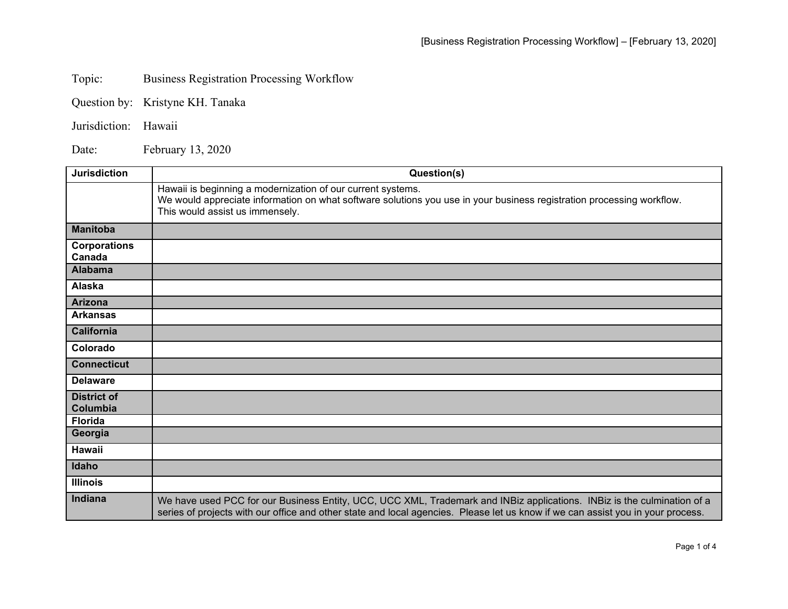Topic: Business Registration Processing Workflow

Question by: Kristyne KH. Tanaka

Jurisdiction: Hawaii

Date: February 13, 2020

| <b>Jurisdiction</b>            | Question(s)                                                                                                                                                                                                                                                |
|--------------------------------|------------------------------------------------------------------------------------------------------------------------------------------------------------------------------------------------------------------------------------------------------------|
|                                | Hawaii is beginning a modernization of our current systems.<br>We would appreciate information on what software solutions you use in your business registration processing workflow.<br>This would assist us immensely.                                    |
| <b>Manitoba</b>                |                                                                                                                                                                                                                                                            |
| <b>Corporations</b><br>Canada  |                                                                                                                                                                                                                                                            |
| <b>Alabama</b>                 |                                                                                                                                                                                                                                                            |
| Alaska                         |                                                                                                                                                                                                                                                            |
| Arizona                        |                                                                                                                                                                                                                                                            |
| <b>Arkansas</b>                |                                                                                                                                                                                                                                                            |
| <b>California</b>              |                                                                                                                                                                                                                                                            |
| Colorado                       |                                                                                                                                                                                                                                                            |
| <b>Connecticut</b>             |                                                                                                                                                                                                                                                            |
| <b>Delaware</b>                |                                                                                                                                                                                                                                                            |
| <b>District of</b><br>Columbia |                                                                                                                                                                                                                                                            |
| <b>Florida</b>                 |                                                                                                                                                                                                                                                            |
| Georgia                        |                                                                                                                                                                                                                                                            |
| Hawaii                         |                                                                                                                                                                                                                                                            |
| Idaho                          |                                                                                                                                                                                                                                                            |
| <b>Illinois</b>                |                                                                                                                                                                                                                                                            |
| Indiana                        | We have used PCC for our Business Entity, UCC, UCC XML, Trademark and INBiz applications. INBiz is the culmination of a<br>series of projects with our office and other state and local agencies. Please let us know if we can assist you in your process. |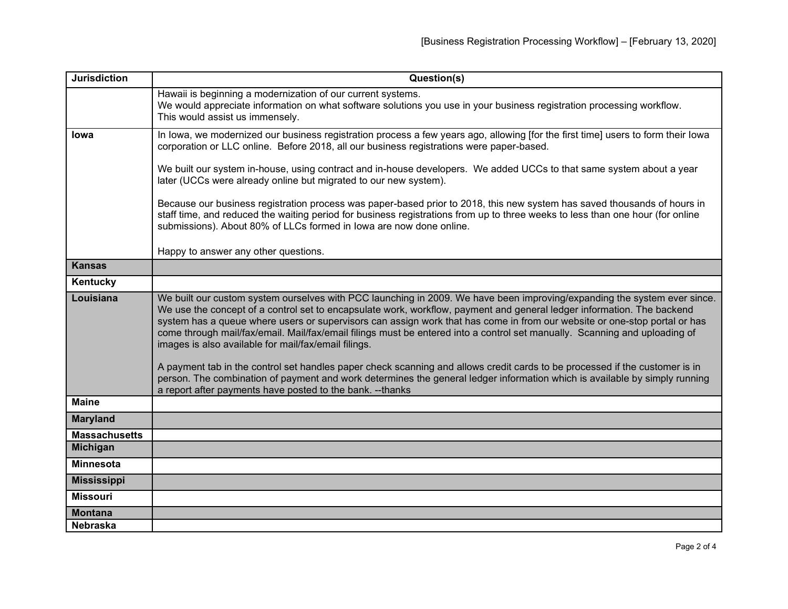| <b>Jurisdiction</b>  | Question(s)                                                                                                                                                                                                                                                                                                                                                                                                                                                                                                                                                                                                                                                                                                                                                                                                                                                                                     |
|----------------------|-------------------------------------------------------------------------------------------------------------------------------------------------------------------------------------------------------------------------------------------------------------------------------------------------------------------------------------------------------------------------------------------------------------------------------------------------------------------------------------------------------------------------------------------------------------------------------------------------------------------------------------------------------------------------------------------------------------------------------------------------------------------------------------------------------------------------------------------------------------------------------------------------|
|                      | Hawaii is beginning a modernization of our current systems.<br>We would appreciate information on what software solutions you use in your business registration processing workflow.<br>This would assist us immensely.                                                                                                                                                                                                                                                                                                                                                                                                                                                                                                                                                                                                                                                                         |
| <b>lowa</b>          | In lowa, we modernized our business registration process a few years ago, allowing [for the first time] users to form their lowa<br>corporation or LLC online. Before 2018, all our business registrations were paper-based.                                                                                                                                                                                                                                                                                                                                                                                                                                                                                                                                                                                                                                                                    |
|                      | We built our system in-house, using contract and in-house developers. We added UCCs to that same system about a year<br>later (UCCs were already online but migrated to our new system).                                                                                                                                                                                                                                                                                                                                                                                                                                                                                                                                                                                                                                                                                                        |
|                      | Because our business registration process was paper-based prior to 2018, this new system has saved thousands of hours in<br>staff time, and reduced the waiting period for business registrations from up to three weeks to less than one hour (for online<br>submissions). About 80% of LLCs formed in lowa are now done online.                                                                                                                                                                                                                                                                                                                                                                                                                                                                                                                                                               |
|                      | Happy to answer any other questions.                                                                                                                                                                                                                                                                                                                                                                                                                                                                                                                                                                                                                                                                                                                                                                                                                                                            |
| <b>Kansas</b>        |                                                                                                                                                                                                                                                                                                                                                                                                                                                                                                                                                                                                                                                                                                                                                                                                                                                                                                 |
| Kentucky             |                                                                                                                                                                                                                                                                                                                                                                                                                                                                                                                                                                                                                                                                                                                                                                                                                                                                                                 |
| Louisiana            | We built our custom system ourselves with PCC launching in 2009. We have been improving/expanding the system ever since.<br>We use the concept of a control set to encapsulate work, workflow, payment and general ledger information. The backend<br>system has a queue where users or supervisors can assign work that has come in from our website or one-stop portal or has<br>come through mail/fax/email. Mail/fax/email filings must be entered into a control set manually. Scanning and uploading of<br>images is also available for mail/fax/email filings.<br>A payment tab in the control set handles paper check scanning and allows credit cards to be processed if the customer is in<br>person. The combination of payment and work determines the general ledger information which is available by simply running<br>a report after payments have posted to the bank. --thanks |
| <b>Maine</b>         |                                                                                                                                                                                                                                                                                                                                                                                                                                                                                                                                                                                                                                                                                                                                                                                                                                                                                                 |
| <b>Maryland</b>      |                                                                                                                                                                                                                                                                                                                                                                                                                                                                                                                                                                                                                                                                                                                                                                                                                                                                                                 |
| <b>Massachusetts</b> |                                                                                                                                                                                                                                                                                                                                                                                                                                                                                                                                                                                                                                                                                                                                                                                                                                                                                                 |
| <b>Michigan</b>      |                                                                                                                                                                                                                                                                                                                                                                                                                                                                                                                                                                                                                                                                                                                                                                                                                                                                                                 |
| <b>Minnesota</b>     |                                                                                                                                                                                                                                                                                                                                                                                                                                                                                                                                                                                                                                                                                                                                                                                                                                                                                                 |
| <b>Mississippi</b>   |                                                                                                                                                                                                                                                                                                                                                                                                                                                                                                                                                                                                                                                                                                                                                                                                                                                                                                 |
| <b>Missouri</b>      |                                                                                                                                                                                                                                                                                                                                                                                                                                                                                                                                                                                                                                                                                                                                                                                                                                                                                                 |
| <b>Montana</b>       |                                                                                                                                                                                                                                                                                                                                                                                                                                                                                                                                                                                                                                                                                                                                                                                                                                                                                                 |
| <b>Nebraska</b>      |                                                                                                                                                                                                                                                                                                                                                                                                                                                                                                                                                                                                                                                                                                                                                                                                                                                                                                 |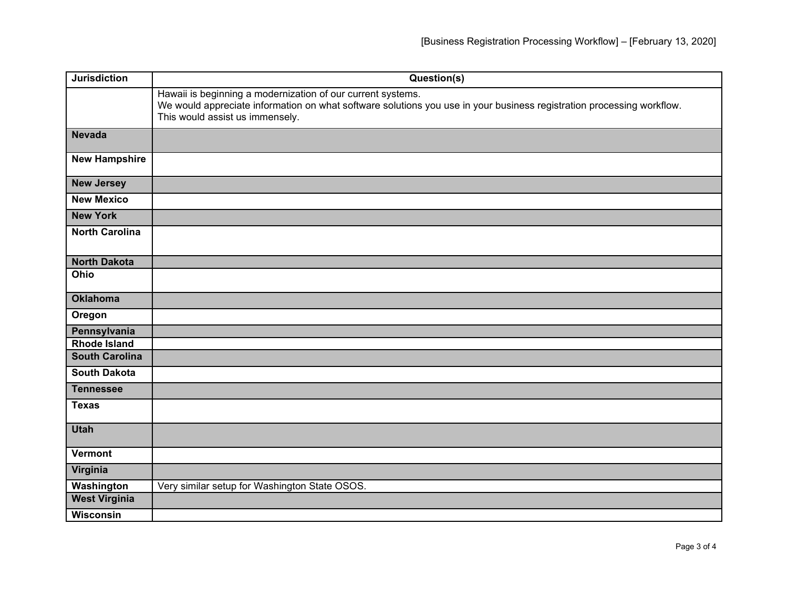| <b>Jurisdiction</b>   | Question(s)                                                                                                                                                                                                             |
|-----------------------|-------------------------------------------------------------------------------------------------------------------------------------------------------------------------------------------------------------------------|
|                       | Hawaii is beginning a modernization of our current systems.<br>We would appreciate information on what software solutions you use in your business registration processing workflow.<br>This would assist us immensely. |
| <b>Nevada</b>         |                                                                                                                                                                                                                         |
| <b>New Hampshire</b>  |                                                                                                                                                                                                                         |
| <b>New Jersey</b>     |                                                                                                                                                                                                                         |
| <b>New Mexico</b>     |                                                                                                                                                                                                                         |
| <b>New York</b>       |                                                                                                                                                                                                                         |
| <b>North Carolina</b> |                                                                                                                                                                                                                         |
| <b>North Dakota</b>   |                                                                                                                                                                                                                         |
| Ohio                  |                                                                                                                                                                                                                         |
| <b>Oklahoma</b>       |                                                                                                                                                                                                                         |
| Oregon                |                                                                                                                                                                                                                         |
| Pennsylvania          |                                                                                                                                                                                                                         |
| <b>Rhode Island</b>   |                                                                                                                                                                                                                         |
| <b>South Carolina</b> |                                                                                                                                                                                                                         |
| <b>South Dakota</b>   |                                                                                                                                                                                                                         |
| <b>Tennessee</b>      |                                                                                                                                                                                                                         |
| <b>Texas</b>          |                                                                                                                                                                                                                         |
| <b>Utah</b>           |                                                                                                                                                                                                                         |
| <b>Vermont</b>        |                                                                                                                                                                                                                         |
| Virginia              |                                                                                                                                                                                                                         |
| Washington            | Very similar setup for Washington State OSOS.                                                                                                                                                                           |
| <b>West Virginia</b>  |                                                                                                                                                                                                                         |
| Wisconsin             |                                                                                                                                                                                                                         |